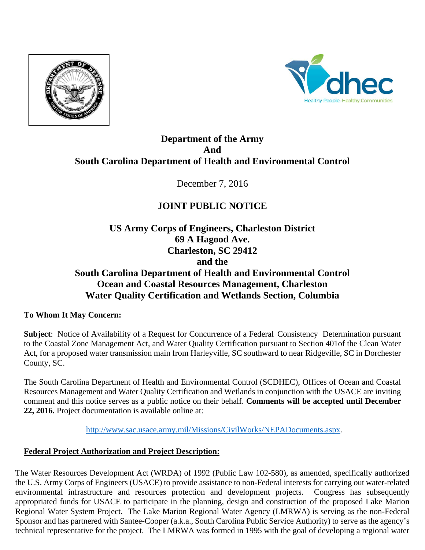



# **Department of the Army And South Carolina Department of Health and Environmental Control**

December 7, 2016

# **JOINT PUBLIC NOTICE**

**US Army Corps of Engineers, Charleston District 69 A Hagood Ave. Charleston, SC 29412 and the South Carolina Department of Health and Environmental Control Ocean and Coastal Resources Management, Charleston Water Quality Certification and Wetlands Section, Columbia** 

## **To Whom It May Concern:**

**Subject**: Notice of Availability of a Request for Concurrence of a Federal Consistency Determination pursuant to the Coastal Zone Management Act, and Water Quality Certification pursuant to Section 401of the Clean Water Act, for a proposed water transmission main from Harleyville, SC southward to near Ridgeville, SC in Dorchester County, SC.

The South Carolina Department of Health and Environmental Control (SCDHEC), Offices of Ocean and Coastal Resources Management and Water Quality Certification and Wetlands in conjunction with the USACE are inviting comment and this notice serves as a public notice on their behalf. **Comments will be accepted until December 22, 2016.** Project documentation is available online at:

http://www.sac.usace.army.mil/Missions/CivilWorks/NEPADocuments.aspx.

## **Federal Project Authorization and Project Description:**

The Water Resources Development Act (WRDA) of 1992 (Public Law 102-580), as amended, specifically authorized the U.S. Army Corps of Engineers (USACE) to provide assistance to non-Federal interests for carrying out water-related environmental infrastructure and resources protection and development projects. Congress has subsequently appropriated funds for USACE to participate in the planning, design and construction of the proposed Lake Marion Regional Water System Project. The Lake Marion Regional Water Agency (LMRWA) is serving as the non-Federal Sponsor and has partnered with Santee-Cooper (a.k.a., South Carolina Public Service Authority) to serve as the agency's technical representative for the project. The LMRWA was formed in 1995 with the goal of developing a regional water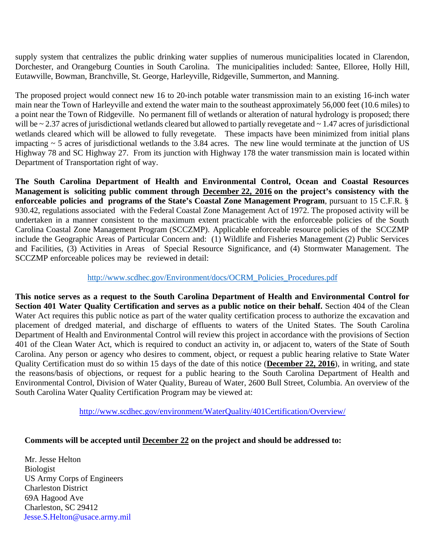supply system that centralizes the public drinking water supplies of numerous municipalities located in Clarendon, Dorchester, and Orangeburg Counties in South Carolina. The municipalities included: Santee, Elloree, Holly Hill, Eutawville, Bowman, Branchville, St. George, Harleyville, Ridgeville, Summerton, and Manning.

The proposed project would connect new 16 to 20-inch potable water transmission main to an existing 16-inch water main near the Town of Harleyville and extend the water main to the southeast approximately 56,000 feet (10.6 miles) to a point near the Town of Ridgeville. No permanent fill of wetlands or alteration of natural hydrology is proposed; there will be ~ 2.37 acres of jurisdictional wetlands cleared but allowed to partially revegetate and ~ 1.47 acres of jurisdictional wetlands cleared which will be allowed to fully revegetate. These impacts have been minimized from initial plans impacting  $\sim$  5 acres of jurisdictional wetlands to the 3.84 acres. The new line would terminate at the junction of US Highway 78 and SC Highway 27. From its junction with Highway 178 the water transmission main is located within Department of Transportation right of way.

**The South Carolina Department of Health and Environmental Control, Ocean and Coastal Resources Management is soliciting public comment through December 22, 2016 on the project's consistency with the enforceable policies and programs of the State's Coastal Zone Management Program**, pursuant to 15 C.F.R. § 930.42, regulations associated with the Federal Coastal Zone Management Act of 1972. The proposed activity will be undertaken in a manner consistent to the maximum extent practicable with the enforceable policies of the South Carolina Coastal Zone Management Program (SCCZMP). Applicable enforceable resource policies of the SCCZMP include the Geographic Areas of Particular Concern and: (1) Wildlife and Fisheries Management (2) Public Services and Facilities, (3) Activities in Areas of Special Resource Significance, and (4) Stormwater Management. The SCCZMP enforceable polices may be reviewed in detail:

#### http://www.scdhec.gov/Environment/docs/OCRM\_Policies\_Procedures.pdf

**This notice serves as a request to the South Carolina Department of Health and Environmental Control for Section 401 Water Quality Certification and serves as a public notice on their behalf.** Section 404 of the Clean Water Act requires this public notice as part of the water quality certification process to authorize the excavation and placement of dredged material, and discharge of effluents to waters of the United States. The South Carolina Department of Health and Environmental Control will review this project in accordance with the provisions of Section 401 of the Clean Water Act, which is required to conduct an activity in, or adjacent to, waters of the State of South Carolina. Any person or agency who desires to comment, object, or request a public hearing relative to State Water Quality Certification must do so within 15 days of the date of this notice (**December 22, 2016**), in writing, and state the reasons/basis of objections, or request for a public hearing to the South Carolina Department of Health and Environmental Control, Division of Water Quality, Bureau of Water, 2600 Bull Street, Columbia. An overview of the South Carolina Water Quality Certification Program may be viewed at:

http://www.scdhec.gov/environment/WaterQuality/401Certification/Overview/

#### **Comments will be accepted until December 22 on the project and should be addressed to:**

Mr. Jesse Helton Biologist US Army Corps of Engineers Charleston District 69A Hagood Ave Charleston, SC 29412 Jesse.S.Helton@usace.army.mil